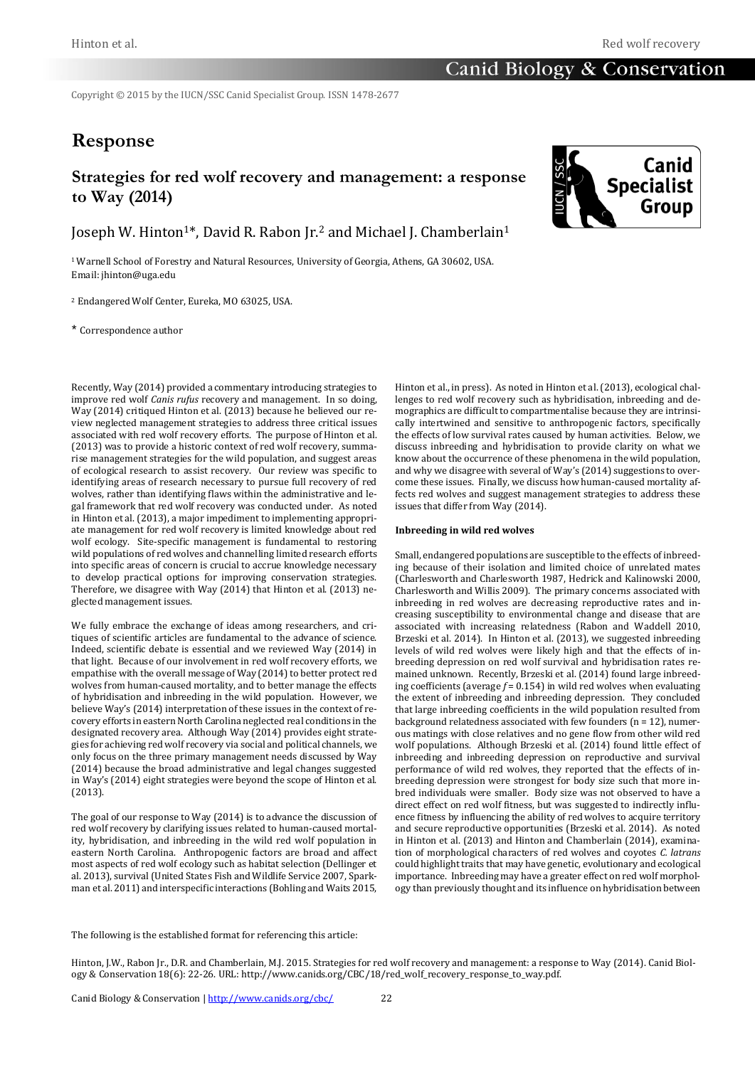Copyright © 2015 by the IUCN/SSC Canid Specialist Group. ISSN 1478-2677

# **Response**

# **Strategies for red wolf recovery and management: a response to Way (2014)**

Joseph W. Hinton<sup>1\*</sup>, David R. Rabon Ir.<sup>2</sup> and Michael I. Chamberlain<sup>1</sup>

<sup>1</sup>Warnell School of Forestry and Natural Resources, University of Georgia, Athens, GA 30602, USA. Email: jhinton@uga.edu

<sup>2</sup> Endangered Wolf Center, Eureka, MO 63025, USA.

\* Correspondence author

Recently, Way (2014) provided a commentary introducing strategies to improve red wolf *Canis rufus* recovery and management. In so doing, Way (2014) critiqued Hinton et al. (2013) because he believed our review neglected management strategies to address three critical issues associated with red wolf recovery efforts. The purpose of Hinton et al. (2013) was to provide a historic context of red wolf recovery, summarise management strategies for the wild population, and suggest areas of ecological research to assist recovery. Our review was specific to identifying areas of research necessary to pursue full recovery of red wolves, rather than identifying flaws within the administrative and legal framework that red wolf recovery was conducted under. As noted in Hinton et al. (2013), a major impediment to implementing appropriate management for red wolf recovery is limited knowledge about red wolf ecology. Site-specific management is fundamental to restoring wild populations of red wolves and channelling limited research efforts into specific areas of concern is crucial to accrue knowledge necessary to develop practical options for improving conservation strategies. Therefore, we disagree with Way (2014) that Hinton et al. (2013) neglected management issues.

We fully embrace the exchange of ideas among researchers, and critiques of scientific articles are fundamental to the advance of science. Indeed, scientific debate is essential and we reviewed Way (2014) in that light. Because of our involvement in red wolf recovery efforts, we empathise with the overall message of Way (2014) to better protect red wolves from human-caused mortality, and to better manage the effects of hybridisation and inbreeding in the wild population. However, we believe Way's (2014) interpretation of these issues in the context of recovery efforts in eastern North Carolina neglected real conditions in the designated recovery area. Although Way (2014) provides eight strategies for achieving red wolf recovery via social and political channels, we only focus on the three primary management needs discussed by Way (2014) because the broad administrative and legal changes suggested in Way's (2014) eight strategies were beyond the scope of Hinton et al. (2013).

The goal of our response to Way (2014) is to advance the discussion of red wolf recovery by clarifying issues related to human-caused mortality, hybridisation, and inbreeding in the wild red wolf population in eastern North Carolina. Anthropogenic factors are broad and affect most aspects of red wolf ecology such as habitat selection (Dellinger et al. 2013), survival (United States Fish and Wildlife Service 2007, Sparkman et al. 2011) and interspecific interactions (Bohling and Waits 2015,

Hinton et al., in press). As noted in Hinton et al. (2013), ecological challenges to red wolf recovery such as hybridisation, inbreeding and demographics are difficult to compartmentalise because they are intrinsically intertwined and sensitive to anthropogenic factors, specifically the effects of low survival rates caused by human activities. Below, we discuss inbreeding and hybridisation to provide clarity on what we know about the occurrence of these phenomena in the wild population, and why we disagree with several of Way's (2014) suggestions to overcome these issues. Finally, we discuss how human-caused mortality affects red wolves and suggest management strategies to address these issues that differ from Way (2014).

#### **Inbreeding in wild red wolves**

Small, endangered populations are susceptible to the effects of inbreeding because of their isolation and limited choice of unrelated mates (Charlesworth and Charlesworth 1987, Hedrick and Kalinowski 2000, Charlesworth and Willis 2009). The primary concerns associated with inbreeding in red wolves are decreasing reproductive rates and increasing susceptibility to environmental change and disease that are associated with increasing relatedness (Rabon and Waddell 2010, Brzeski et al. 2014). In Hinton et al. (2013), we suggested inbreeding levels of wild red wolves were likely high and that the effects of inbreeding depression on red wolf survival and hybridisation rates remained unknown. Recently, Brzeski et al. (2014) found large inbreeding coefficients (average *f* = 0.154) in wild red wolves when evaluating the extent of inbreeding and inbreeding depression. They concluded that large inbreeding coefficients in the wild population resulted from background relatedness associated with few founders (n = 12), numerous matings with close relatives and no gene flow from other wild red wolf populations. Although Brzeski et al. (2014) found little effect of inbreeding and inbreeding depression on reproductive and survival performance of wild red wolves, they reported that the effects of inbreeding depression were strongest for body size such that more inbred individuals were smaller. Body size was not observed to have a direct effect on red wolf fitness, but was suggested to indirectly influence fitness by influencing the ability of red wolves to acquire territory and secure reproductive opportunities (Brzeski et al. 2014). As noted in Hinton et al. (2013) and Hinton and Chamberlain (2014), examination of morphological characters of red wolves and coyotes *C. latrans* could highlight traits that may have genetic, evolutionary and ecological importance. Inbreeding may have a greater effect on red wolf morphology than previously thought and its influence on hybridisation between

The following is the established format for referencing this article:

Hinton, J.W., Rabon Jr., D.R. and Chamberlain, M.J. 2015. Strategies for red wolf recovery and management: a response to Way (2014). Canid Biology & Conservation 18(6): 22-26. URL: http://www.canids.org/CBC/18/red\_wolf\_recovery\_response\_to\_way.pdf.

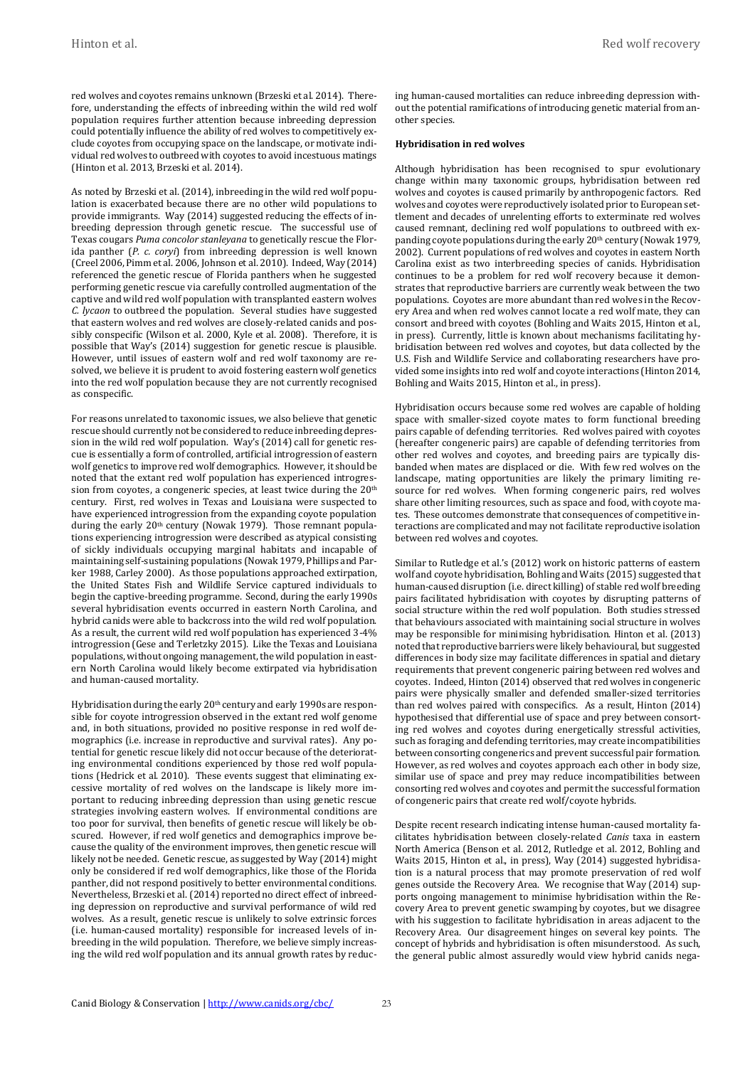red wolves and coyotes remains unknown (Brzeski et al. 2014). Therefore, understanding the effects of inbreeding within the wild red wolf population requires further attention because inbreeding depression could potentially influence the ability of red wolves to competitively exclude coyotes from occupying space on the landscape, or motivate individual red wolves to outbreed with coyotes to avoid incestuous matings (Hinton et al. 2013, Brzeski et al. 2014).

As noted by Brzeski et al. (2014), inbreeding in the wild red wolf population is exacerbated because there are no other wild populations to provide immigrants. Way (2014) suggested reducing the effects of inbreeding depression through genetic rescue. The successful use of Texas cougars *Puma concolor stanleyana* to genetically rescue the Florida panther (*P. c. coryi*) from inbreeding depression is well known (Creel 2006, Pimm et al. 2006, Johnson et al. 2010). Indeed, Way (2014) referenced the genetic rescue of Florida panthers when he suggested performing genetic rescue via carefully controlled augmentation of the captive and wild red wolf population with transplanted eastern wolves *C. lycaon* to outbreed the population. Several studies have suggested that eastern wolves and red wolves are closely-related canids and possibly conspecific (Wilson et al. 2000, Kyle et al. 2008). Therefore, it is possible that Way's (2014) suggestion for genetic rescue is plausible. However, until issues of eastern wolf and red wolf taxonomy are resolved, we believe it is prudent to avoid fostering eastern wolf genetics into the red wolf population because they are not currently recognised as conspecific.

For reasons unrelated to taxonomic issues, we also believe that genetic rescue should currently not be considered to reduce inbreeding depression in the wild red wolf population. Way's (2014) call for genetic rescue is essentially a form of controlled, artificial introgression of eastern wolf genetics to improve red wolf demographics. However, it should be noted that the extant red wolf population has experienced introgression from coyotes, a congeneric species, at least twice during the 20<sup>th</sup> century. First, red wolves in Texas and Louisiana were suspected to have experienced introgression from the expanding coyote population during the early 20<sup>th</sup> century (Nowak 1979). Those remnant populations experiencing introgression were described as atypical consisting of sickly individuals occupying marginal habitats and incapable of maintaining self-sustaining populations (Nowak 1979, Phillips and Parker 1988, Carley 2000). As those populations approached extirpation, the United States Fish and Wildlife Service captured individuals to begin the captive-breeding programme. Second, during the early 1990s several hybridisation events occurred in eastern North Carolina, and hybrid canids were able to backcross into the wild red wolf population. As a result, the current wild red wolf population has experienced 3-4% introgression (Gese and Terletzky 2015). Like the Texas and Louisiana populations, without ongoing management, the wild population in eastern North Carolina would likely become extirpated via hybridisation and human-caused mortality.

Hybridisation during the early 20<sup>th</sup> century and early 1990s are responsible for coyote introgression observed in the extant red wolf genome and, in both situations, provided no positive response in red wolf demographics (i.e. increase in reproductive and survival rates). Any potential for genetic rescue likely did not occur because of the deteriorating environmental conditions experienced by those red wolf populations (Hedrick et al. 2010). These events suggest that eliminating excessive mortality of red wolves on the landscape is likely more important to reducing inbreeding depression than using genetic rescue strategies involving eastern wolves. If environmental conditions are too poor for survival, then benefits of genetic rescue will likely be obscured. However, if red wolf genetics and demographics improve because the quality of the environment improves, then genetic rescue will likely not be needed. Genetic rescue, as suggested by Way (2014) might only be considered if red wolf demographics, like those of the Florida panther, did not respond positively to better environmental conditions. Nevertheless, Brzeski et al. (2014) reported no direct effect of inbreeding depression on reproductive and survival performance of wild red wolves. As a result, genetic rescue is unlikely to solve extrinsic forces (i.e. human-caused mortality) responsible for increased levels of inbreeding in the wild population. Therefore, we believe simply increasing the wild red wolf population and its annual growth rates by reducing human-caused mortalities can reduce inbreeding depression without the potential ramifications of introducing genetic material from another species.

#### **Hybridisation in red wolves**

Although hybridisation has been recognised to spur evolutionary change within many taxonomic groups, hybridisation between red wolves and coyotes is caused primarily by anthropogenic factors. Red wolves and coyotes were reproductively isolated prior to European settlement and decades of unrelenting efforts to exterminate red wolves caused remnant, declining red wolf populations to outbreed with expanding coyote populations during the early 20th century (Nowak 1979, 2002). Current populations of red wolves and coyotes in eastern North Carolina exist as two interbreeding species of canids. Hybridisation continues to be a problem for red wolf recovery because it demonstrates that reproductive barriers are currently weak between the two populations. Coyotes are more abundant than red wolves in the Recovery Area and when red wolves cannot locate a red wolf mate, they can consort and breed with coyotes (Bohling and Waits 2015, Hinton et al., in press). Currently, little is known about mechanisms facilitating hybridisation between red wolves and coyotes, but data collected by the U.S. Fish and Wildlife Service and collaborating researchers have provided some insights into red wolf and coyote interactions (Hinton 2014, Bohling and Waits 2015, Hinton et al., in press).

Hybridisation occurs because some red wolves are capable of holding space with smaller-sized coyote mates to form functional breeding pairs capable of defending territories. Red wolves paired with coyotes (hereafter congeneric pairs) are capable of defending territories from other red wolves and coyotes, and breeding pairs are typically disbanded when mates are displaced or die. With few red wolves on the landscape, mating opportunities are likely the primary limiting resource for red wolves. When forming congeneric pairs, red wolves share other limiting resources, such as space and food, with coyote mates. These outcomes demonstrate that consequences of competitive interactions are complicated and may not facilitate reproductive isolation between red wolves and coyotes.

Similar to Rutledge et al.'s (2012) work on historic patterns of eastern wolf and coyote hybridisation, Bohling and Waits (2015) suggested that human-caused disruption (i.e. direct killing) of stable red wolf breeding pairs facilitated hybridisation with coyotes by disrupting patterns of social structure within the red wolf population. Both studies stressed that behaviours associated with maintaining social structure in wolves may be responsible for minimising hybridisation. Hinton et al. (2013) noted that reproductive barriers were likely behavioural, but suggested differences in body size may facilitate differences in spatial and dietary requirements that prevent congeneric pairing between red wolves and coyotes. Indeed, Hinton (2014) observed that red wolves in congeneric pairs were physically smaller and defended smaller-sized territories than red wolves paired with conspecifics. As a result, Hinton (2014) hypothesised that differential use of space and prey between consorting red wolves and coyotes during energetically stressful activities, such as foraging and defending territories, may create incompatibilities between consorting congenerics and prevent successful pair formation. However, as red wolves and coyotes approach each other in body size, similar use of space and prey may reduce incompatibilities between consorting red wolves and coyotes and permit the successful formation of congeneric pairs that create red wolf/coyote hybrids.

Despite recent research indicating intense human-caused mortality facilitates hybridisation between closely-related *Canis* taxa in eastern North America (Benson et al. 2012, Rutledge et al. 2012, Bohling and Waits 2015, Hinton et al., in press), Way (2014) suggested hybridisation is a natural process that may promote preservation of red wolf genes outside the Recovery Area. We recognise that Way (2014) supports ongoing management to minimise hybridisation within the Recovery Area to prevent genetic swamping by coyotes, but we disagree with his suggestion to facilitate hybridisation in areas adjacent to the Recovery Area. Our disagreement hinges on several key points. The concept of hybrids and hybridisation is often misunderstood. As such, the general public almost assuredly would view hybrid canids nega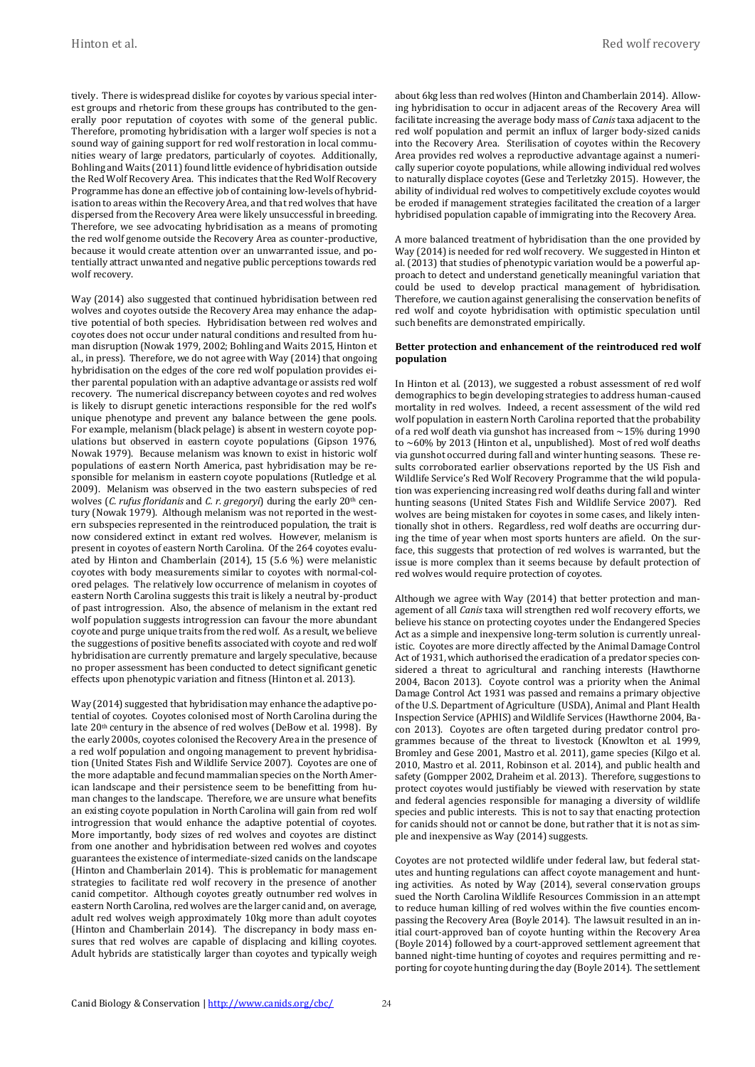tively. There is widespread dislike for coyotes by various special interest groups and rhetoric from these groups has contributed to the generally poor reputation of coyotes with some of the general public. Therefore, promoting hybridisation with a larger wolf species is not a sound way of gaining support for red wolf restoration in local communities weary of large predators, particularly of coyotes. Additionally, Bohling and Waits (2011) found little evidence of hybridisation outside the Red Wolf Recovery Area. This indicates that the Red Wolf Recovery Programme has done an effective job of containing low-levels of hybridisation to areas within the Recovery Area, and that red wolves that have dispersed from the Recovery Area were likely unsuccessful in breeding. Therefore, we see advocating hybridisation as a means of promoting the red wolf genome outside the Recovery Area as counter-productive, because it would create attention over an unwarranted issue, and potentially attract unwanted and negative public perceptions towards red wolf recovery.

Way (2014) also suggested that continued hybridisation between red wolves and coyotes outside the Recovery Area may enhance the adaptive potential of both species. Hybridisation between red wolves and coyotes does not occur under natural conditions and resulted from human disruption (Nowak 1979, 2002; Bohling and Waits 2015, Hinton et al., in press). Therefore, we do not agree with Way (2014) that ongoing hybridisation on the edges of the core red wolf population provides either parental population with an adaptive advantage or assists red wolf recovery. The numerical discrepancy between coyotes and red wolves is likely to disrupt genetic interactions responsible for the red wolf's unique phenotype and prevent any balance between the gene pools. For example, melanism (black pelage) is absent in western coyote populations but observed in eastern coyote populations (Gipson 1976, Nowak 1979). Because melanism was known to exist in historic wolf populations of eastern North America, past hybridisation may be responsible for melanism in eastern coyote populations (Rutledge et al. 2009). Melanism was observed in the two eastern subspecies of red wolves (*C. rufus floridanis* and *C. r. gregoryi*) during the early 20th century (Nowak 1979). Although melanism was not reported in the western subspecies represented in the reintroduced population, the trait is now considered extinct in extant red wolves. However, melanism is present in coyotes of eastern North Carolina. Of the 264 coyotes evaluated by Hinton and Chamberlain (2014), 15 (5.6 %) were melanistic coyotes with body measurements similar to coyotes with normal-colored pelages. The relatively low occurrence of melanism in coyotes of eastern North Carolina suggests this trait is likely a neutral by-product of past introgression. Also, the absence of melanism in the extant red wolf population suggests introgression can favour the more abundant coyote and purge unique traits from the red wolf. As a result, we believe the suggestions of positive benefits associated with coyote and red wolf hybridisation are currently premature and largely speculative, because no proper assessment has been conducted to detect significant genetic effects upon phenotypic variation and fitness (Hinton et al. 2013).

Way (2014) suggested that hybridisation may enhance the adaptive potential of coyotes. Coyotes colonised most of North Carolina during the late 20<sup>th</sup> century in the absence of red wolves (DeBow et al. 1998). By the early 2000s, coyotes colonised the Recovery Area in the presence of a red wolf population and ongoing management to prevent hybridisation (United States Fish and Wildlife Service 2007). Coyotes are one of the more adaptable and fecund mammalian species on the North American landscape and their persistence seem to be benefitting from human changes to the landscape. Therefore, we are unsure what benefits an existing coyote population in North Carolina will gain from red wolf introgression that would enhance the adaptive potential of coyotes. More importantly, body sizes of red wolves and coyotes are distinct from one another and hybridisation between red wolves and coyotes guarantees the existence of intermediate-sized canids on the landscape (Hinton and Chamberlain 2014). This is problematic for management strategies to facilitate red wolf recovery in the presence of another canid competitor. Although coyotes greatly outnumber red wolves in eastern North Carolina, red wolves are the larger canid and, on average, adult red wolves weigh approximately 10kg more than adult coyotes (Hinton and Chamberlain 2014). The discrepancy in body mass ensures that red wolves are capable of displacing and killing coyotes. Adult hybrids are statistically larger than coyotes and typically weigh

about 6kg less than red wolves (Hinton and Chamberlain 2014). Allowing hybridisation to occur in adjacent areas of the Recovery Area will facilitate increasing the average body mass of *Canis* taxa adjacent to the red wolf population and permit an influx of larger body-sized canids into the Recovery Area. Sterilisation of coyotes within the Recovery Area provides red wolves a reproductive advantage against a numerically superior coyote populations, while allowing individual red wolves to naturally displace coyotes (Gese and Terletzky 2015). However, the ability of individual red wolves to competitively exclude coyotes would be eroded if management strategies facilitated the creation of a larger hybridised population capable of immigrating into the Recovery Area.

A more balanced treatment of hybridisation than the one provided by Way (2014) is needed for red wolf recovery. We suggested in Hinton et al. (2013) that studies of phenotypic variation would be a powerful approach to detect and understand genetically meaningful variation that could be used to develop practical management of hybridisation. Therefore, we caution against generalising the conservation benefits of red wolf and coyote hybridisation with optimistic speculation until such benefits are demonstrated empirically.

#### **Better protection and enhancement of the reintroduced red wolf population**

In Hinton et al. (2013), we suggested a robust assessment of red wolf demographics to begin developing strategies to address human-caused mortality in red wolves. Indeed, a recent assessment of the wild red wolf population in eastern North Carolina reported that the probability of a red wolf death via gunshot has increased from  $\sim$ 15% during 1990 to ~60% by 2013 (Hinton et al., unpublished). Most of red wolf deaths via gunshot occurred during fall and winter hunting seasons. These results corroborated earlier observations reported by the US Fish and Wildlife Service's Red Wolf Recovery Programme that the wild population was experiencing increasing red wolf deaths during fall and winter hunting seasons (United States Fish and Wildlife Service 2007). Red wolves are being mistaken for coyotes in some cases, and likely intentionally shot in others. Regardless, red wolf deaths are occurring during the time of year when most sports hunters are afield. On the surface, this suggests that protection of red wolves is warranted, but the issue is more complex than it seems because by default protection of red wolves would require protection of coyotes.

Although we agree with Way (2014) that better protection and management of all *Canis* taxa will strengthen red wolf recovery efforts, we believe his stance on protecting coyotes under the Endangered Species Act as a simple and inexpensive long-term solution is currently unrealistic. Coyotes are more directly affected by the Animal Damage Control Act of 1931, which authorised the eradication of a predator species considered a threat to agricultural and ranching interests (Hawthorne 2004, Bacon 2013). Coyote control was a priority when the Animal Damage Control Act 1931 was passed and remains a primary objective of the U.S. Department of Agriculture (USDA), Animal and Plant Health Inspection Service (APHIS) and Wildlife Services (Hawthorne 2004, Bacon 2013). Coyotes are often targeted during predator control programmes because of the threat to livestock (Knowlton et al. 1999, Bromley and Gese 2001, Mastro et al. 2011), game species (Kilgo et al. 2010, Mastro et al. 2011, Robinson et al. 2014), and public health and safety (Gompper 2002, Draheim et al. 2013). Therefore, suggestions to protect coyotes would justifiably be viewed with reservation by state and federal agencies responsible for managing a diversity of wildlife species and public interests. This is not to say that enacting protection for canids should not or cannot be done, but rather that it is not as simple and inexpensive as Way (2014) suggests.

Coyotes are not protected wildlife under federal law, but federal statutes and hunting regulations can affect coyote management and hunting activities. As noted by Way (2014), several conservation groups sued the North Carolina Wildlife Resources Commission in an attempt to reduce human killing of red wolves within the five counties encompassing the Recovery Area (Boyle 2014). The lawsuit resulted in an initial court-approved ban of coyote hunting within the Recovery Area (Boyle 2014) followed by a court-approved settlement agreement that banned night-time hunting of coyotes and requires permitting and reporting for coyote hunting during the day (Boyle 2014). The settlement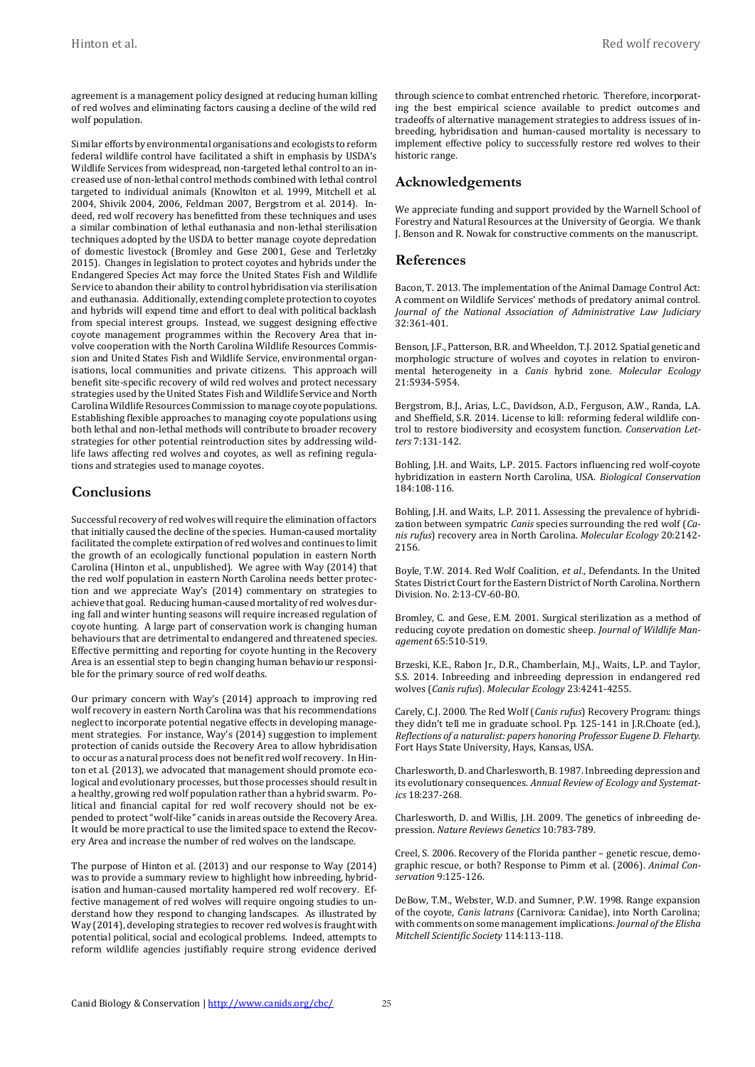agreement is a management policy designed at reducing human killing of red wolves and eliminating factors causing a decline of the wild red wolf population.

Similar efforts by environmental organisations and ecologists to reform federal wildlife control have facilitated a shift in emphasis by USDA's Wildlife Services from widespread, non-targeted lethal control to an increased use of non-lethal control methods combined with lethal control targeted to individual animals (Knowlton et al. 1999, Mitchell et al. 2004, Shivik 2004, 2006, Feldman 2007, Bergstrom et al. 2014). Indeed, red wolf recovery has benefitted from these techniques and uses a similar combination of lethal euthanasia and non-lethal sterilisation techniques adopted by the USDA to better manage coyote depredation of domestic livestock (Bromley and Gese 2001, Gese and Terletzky 2015). Changes in legislation to protect coyotes and hybrids under the Endangered Species Act may force the United States Fish and Wildlife Service to abandon their ability to control hybridisation via sterilisation and euthanasia. Additionally, extending complete protection to coyotes and hybrids will expend time and effort to deal with political backlash from special interest groups. Instead, we suggest designing effective coyote management programmes within the Recovery Area that involve cooperation with the North Carolina Wildlife Resources Commission and United States Fish and Wildlife Service, environmental organisations, local communities and private citizens. This approach will benefit site-specific recovery of wild red wolves and protect necessary strategies used by the United States Fish and Wildlife Service and North Carolina Wildlife Resources Commission to manage coyote populations. Establishing flexible approaches to managing coyote populations using both lethal and non-lethal methods will contribute to broader recovery strategies for other potential reintroduction sites by addressing wildlife laws affecting red wolves and coyotes, as well as refining regulations and strategies used to manage coyotes.

### **Conclusions**

Successful recovery of red wolves will require the elimination of factors that initially caused the decline of the species. Human-caused mortality facilitated the complete extirpation of red wolves and continues to limit the growth of an ecologically functional population in eastern North Carolina (Hinton et al., unpublished). We agree with Way (2014) that the red wolf population in eastern North Carolina needs better protection and we appreciate Way's (2014) commentary on strategies to achieve that goal. Reducing human-caused mortality of red wolves during fall and winter hunting seasons will require increased regulation of coyote hunting. A large part of conservation work is changing human behaviours that are detrimental to endangered and threatened species. Effective permitting and reporting for coyote hunting in the Recovery Area is an essential step to begin changing human behaviour responsible for the primary source of red wolf deaths.

Our primary concern with Way's (2014) approach to improving red wolf recovery in eastern North Carolina was that his recommendations neglect to incorporate potential negative effects in developing management strategies. For instance, Way's (2014) suggestion to implement protection of canids outside the Recovery Area to allow hybridisation to occur as a natural process does not benefit red wolf recovery. In Hinton et al. (2013), we advocated that management should promote ecological and evolutionary processes, but those processes should result in a healthy, growing red wolf population rather than a hybrid swarm. Political and financial capital for red wolf recovery should not be expended to protect "wolf-like" canids in areas outside the Recovery Area. It would be more practical to use the limited space to extend the Recovery Area and increase the number of red wolves on the landscape.

The purpose of Hinton et al. (2013) and our response to Way (2014) was to provide a summary review to highlight how inbreeding, hybridisation and human-caused mortality hampered red wolf recovery. Effective management of red wolves will require ongoing studies to understand how they respond to changing landscapes. As illustrated by Way (2014), developing strategies to recover red wolves is fraught with potential political, social and ecological problems. Indeed, attempts to reform wildlife agencies justifiably require strong evidence derived through science to combat entrenched rhetoric. Therefore, incorporating the best empirical science available to predict outcomes and tradeoffs of alternative management strategies to address issues of inbreeding, hybridisation and human-caused mortality is necessary to implement effective policy to successfully restore red wolves to their historic range.

## **Acknowledgements**

We appreciate funding and support provided by the Warnell School of Forestry and Natural Resources at the University of Georgia. We thank J. Benson and R. Nowak for constructive comments on the manuscript.

### **References**

Bacon, T. 2013. The implementation of the Animal Damage Control Act: A comment on Wildlife Services' methods of predatory animal control. *Journal of the National Association of Administrative Law Judiciary* 32:361-401.

Benson, J.F., Patterson, B.R. and Wheeldon, T.J. 2012. Spatial genetic and morphologic structure of wolves and coyotes in relation to environmental heterogeneity in a *Canis* hybrid zone. *Molecular Ecology*  21:5934-5954.

Bergstrom, B.J., Arias, L.C., Davidson, A.D., Ferguson, A.W., Randa, L.A. and Sheffield, S.R. 2014. License to kill: reforming federal wildlife control to restore biodiversity and ecosystem function. *Conservation Letters* 7:131-142.

Bohling, J.H. and Waits, L.P. 2015. Factors influencing red wolf-coyote hybridization in eastern North Carolina, USA. *Biological Conservation* 184:108-116.

Bohling, J.H. and Waits, L.P. 2011. Assessing the prevalence of hybridization between sympatric *Canis* species surrounding the red wolf (*Canis rufus*) recovery area in North Carolina. *Molecular Ecology* 20:2142- 2156.

Boyle, T.W. 2014. Red Wolf Coalition, *et al*., Defendants. In the United States District Court for the Eastern District of North Carolina. Northern Division. No. 2:13-CV-60-BO.

Bromley, C. and Gese, E.M. 2001. Surgical sterilization as a method of reducing coyote predation on domestic sheep. *Journal of Wildlife Management* 65:510-519.

Brzeski, K.E., Rabon Jr., D.R., Chamberlain, M.J., Waits, L.P. and Taylor, S.S. 2014. Inbreeding and inbreeding depression in endangered red wolves (*Canis rufus*). *Molecular Ecology* 23:4241-4255.

Carely, C.J. 2000. The Red Wolf (*Canis rufus*) Recovery Program: things they didn't tell me in graduate school. Pp. 125-141 in J.R.Choate (ed.), *Reflections of a naturalist: papers honoring Professor Eugene D. Fleharty*. Fort Hays State University, Hays, Kansas, USA.

Charlesworth, D. and Charlesworth, B. 1987. Inbreeding depression and its evolutionary consequences. *Annual Review of Ecology and Systematics* 18:237-268.

Charlesworth, D. and Willis, J.H. 2009. The genetics of inbreeding depression. *Nature Reviews Genetics* 10:783-789.

Creel, S. 2006. Recovery of the Florida panther – genetic rescue, demographic rescue, or both? Response to Pimm et al. (2006). *Animal Conservation* 9:125-126.

DeBow, T.M., Webster, W.D. and Sumner, P.W. 1998. Range expansion of the coyote, *Canis latrans* (Carnivora: Canidae), into North Carolina; with comments on some management implications. *Journal of the Elisha Mitchell Scientific Society* 114:113-118.